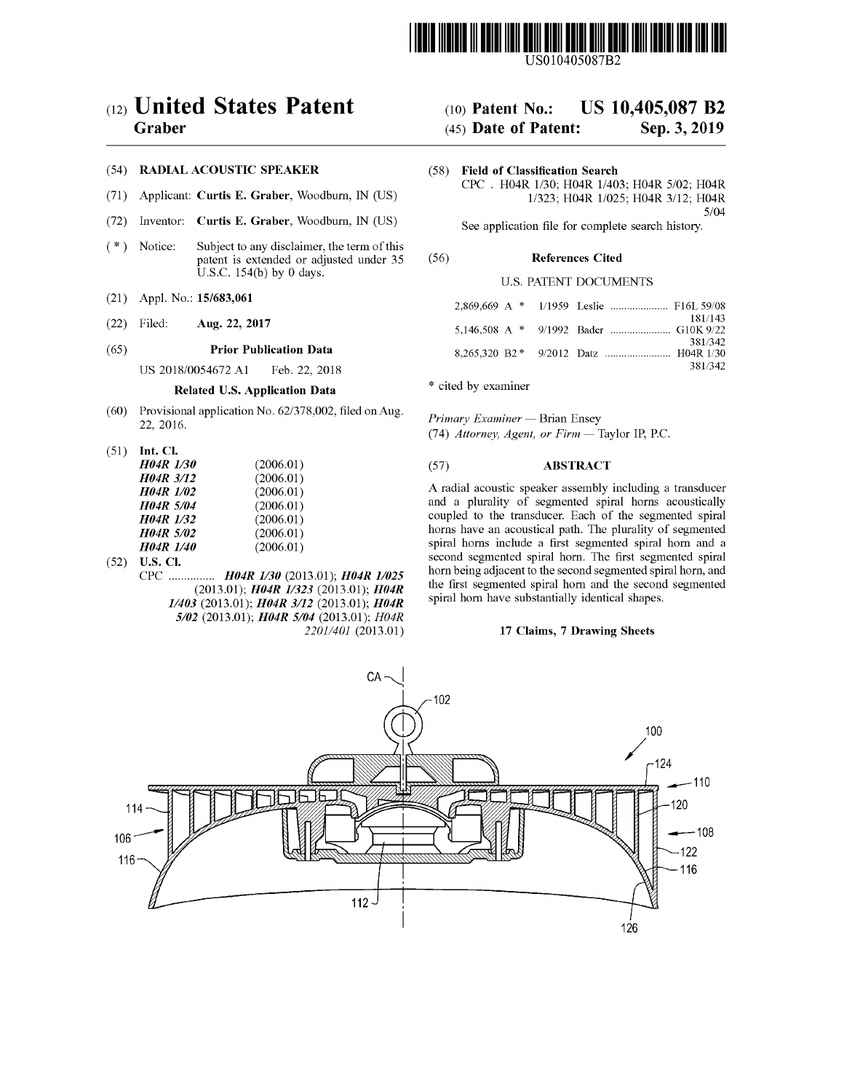

US010405087B2

## ( 12 ) United States Patent

## Graber

## (54) RADIAL ACOUSTIC SPEAKER

- (71) Applicant: Curtis E. Graber, Woodburn, IN (US)
- (72) Inventor: Curtis E. Graber, Woodburn, IN (US)
- (72) Inventor: Curtis E. Graber, Woodburn, IN (US) See application file for complete search history.<br>
(\*) Notice: Subject to any disclaimer, the term of this patent is extended or adjusted under 35 (56) References Cited patent is extended or adjusted under 35 U.S.C.  $154(b)$  by 0 days.
- $(21)$  Appl. No.: 15/683,061
- (22) Filed: **Aug. 22, 2017** 5,146,508 A \*

## (65) **Prior Publication Data**<br>US  $2018/0054672$  A1 Feb. 22, 2018

US 2018/0054672 A1

## Related U.S. Application Data

- (60) Provisional application No.  $62/378,002$ , filed on Aug. 22, 2016.
- 

| <b>H04R</b> 1/30 | (2006.01) |
|------------------|-----------|
| <b>H04R 3/12</b> | (2006.01) |
| <b>H04R</b> 1/02 | (2006.01) |
| <b>H04R 5/04</b> | (2006.01) |
| <b>H04R</b> 1/32 | (2006.01) |
| <b>H04R 5/02</b> | (2006.01) |
| <b>H04R</b> 1/40 | (2006.01) |

U.S. CI.<br>CPC ............... H04R 1/30 (2013.01); H04R 1/025  $(2013.01);$  H04R 1/323 (2013.01); H04R 1/403 (2013.01); H04R 3/12 (2013.01); H04R  $5/02$  (2013.01);  $H04R$   $5/04$  (2013.01);  $H04R$ 2201/401 (2013.01) (52) U.S. Cl.

# (10) Patent No.: US  $10,405,087$  B2<br>(45) Date of Patent: Sep. 3, 2019

## $(45)$  Date of Patent:

(58) Field of Classification Search CPC . H04R 1/30; H04R 1/403; H04R 5/02; H04R 1/323; H04R 1/025; H04R 3/12; H04R 5/04

U.S. PATENT DOCUMENTS

|  | 181/143 |
|--|---------|
|  | 381/342 |
|  | 381/342 |

\* cited by examiner

(60) Trovisional application No. 02/576,002, filed on Aug.<br>
22, 2016. <br>
(51) Int. Cl.<br>  $H04R 1/30$  (2006.01) (57) ABSTRACT

### **ABSTRACT**

A radial acoustic speaker assembly including a transducer and a plurality of segmented spiral horns acoustically coupled to the transducer. Each of the segmented spiral horns have an acoustical path. The plurality of segmented spiral horns include a first segmented spiral horn and a second segmented spiral horn. The first segmented spiral horn being adjacent to the second segmented spiral horn, and the first segmented spiral horn and the second segmented spiral horn have substantially identical shapes.

## 17 Claims, 7 Drawing Sheets

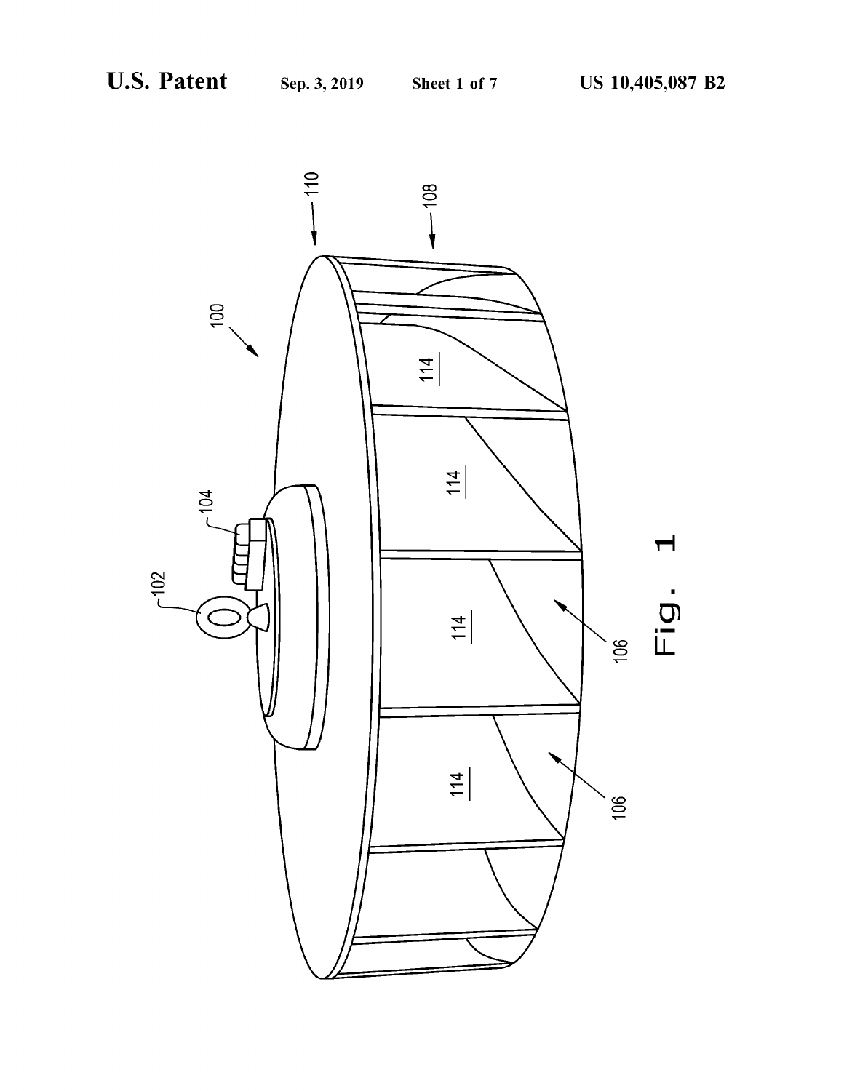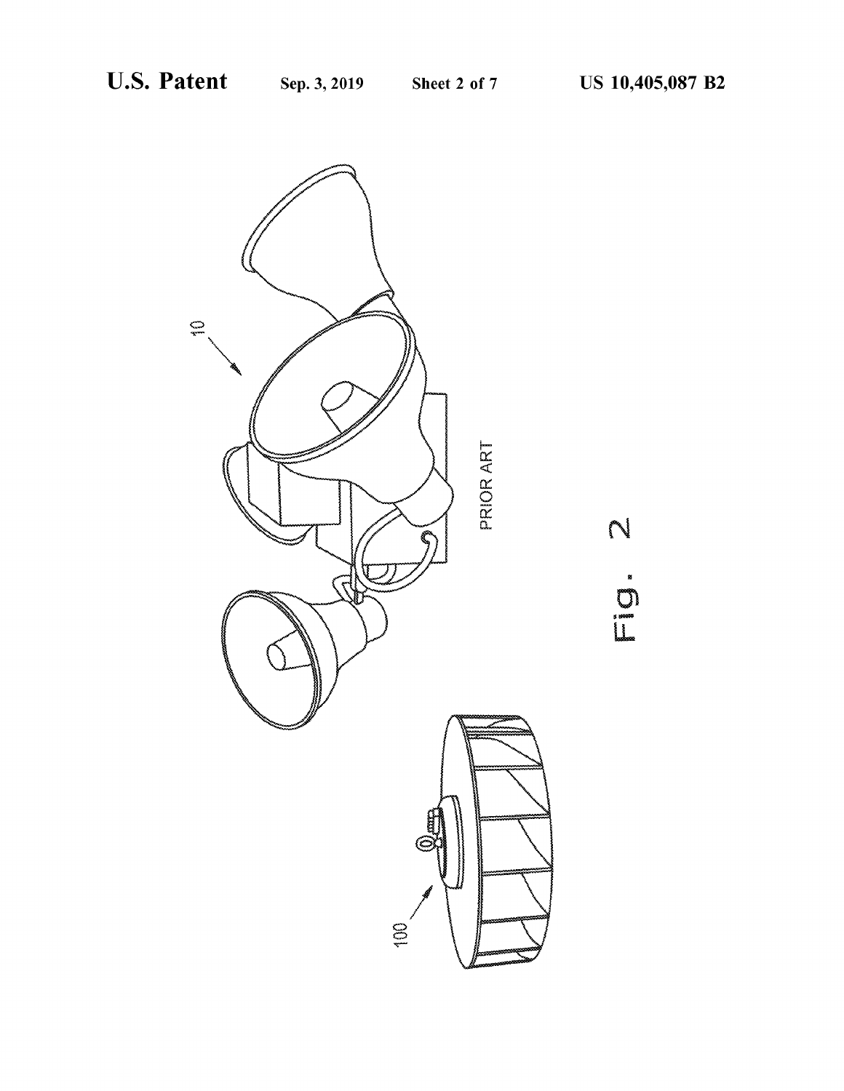

N E journal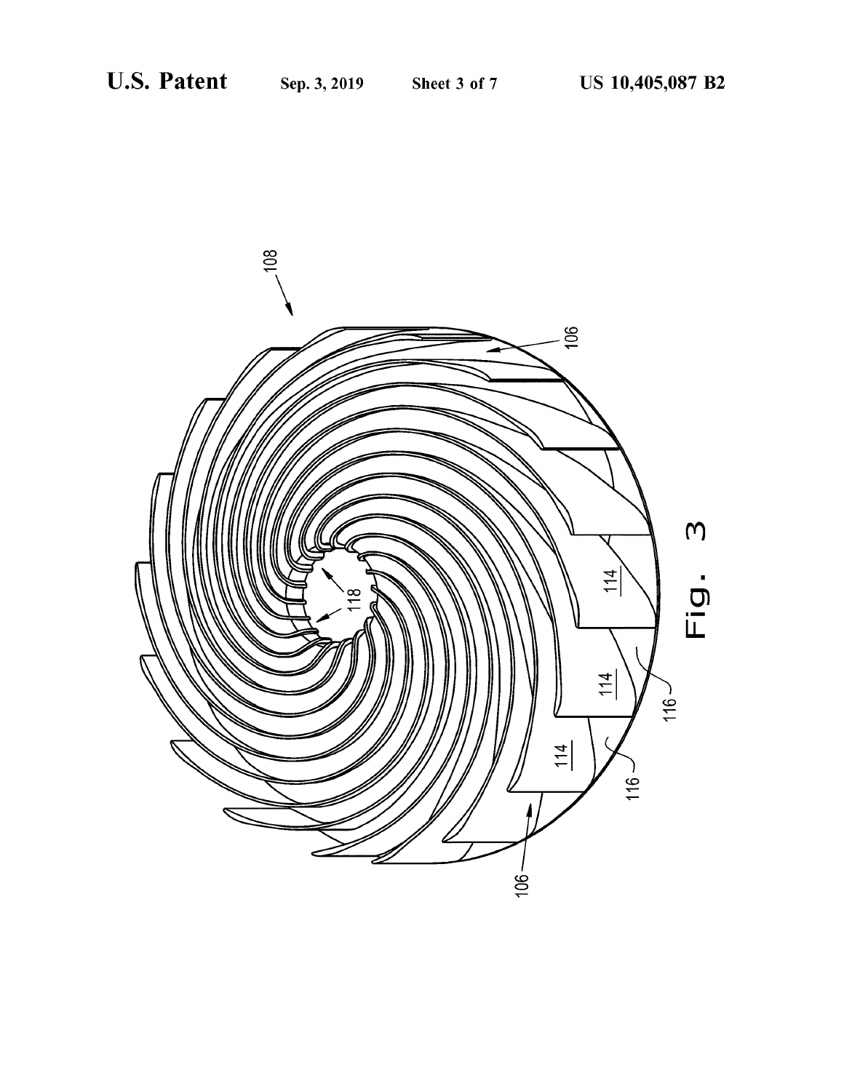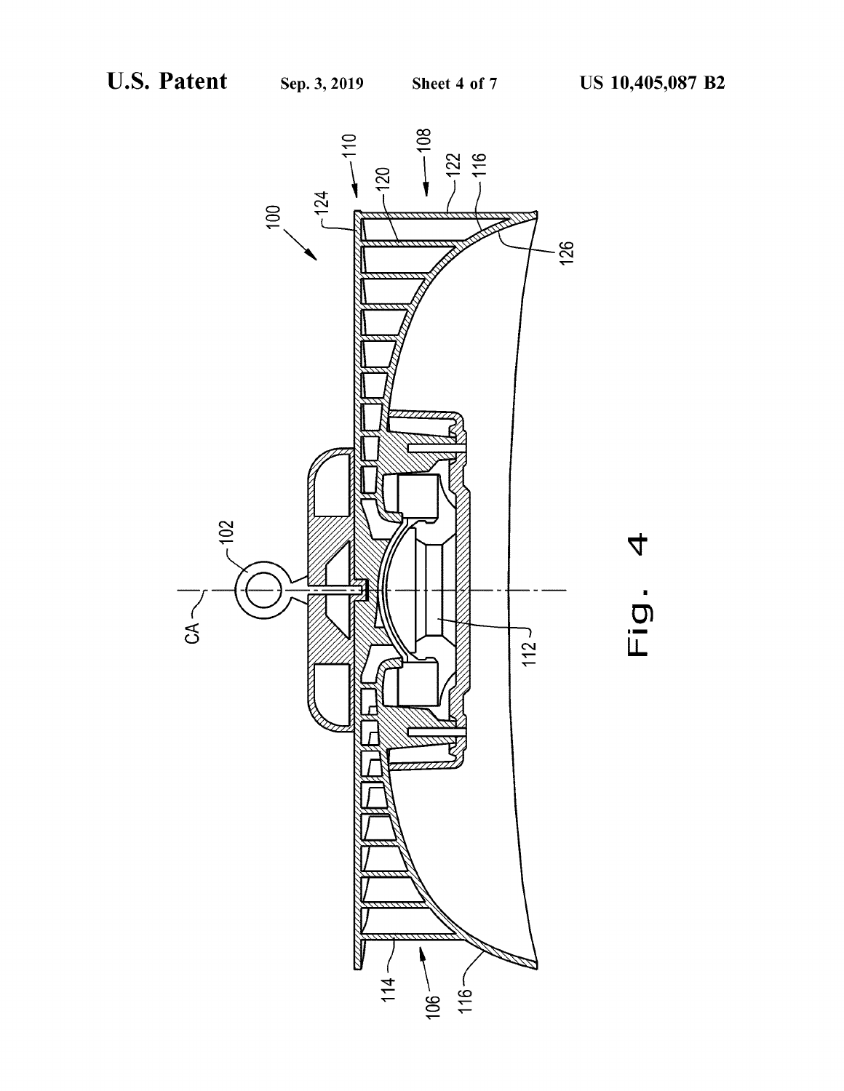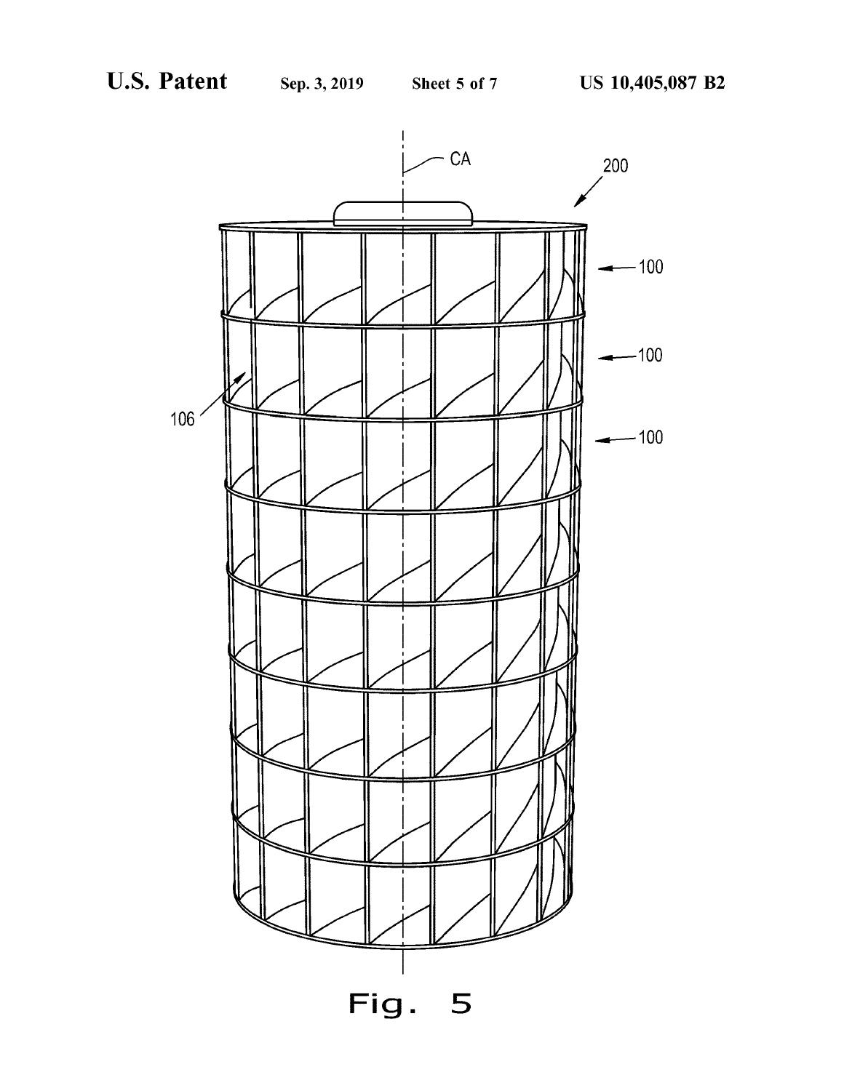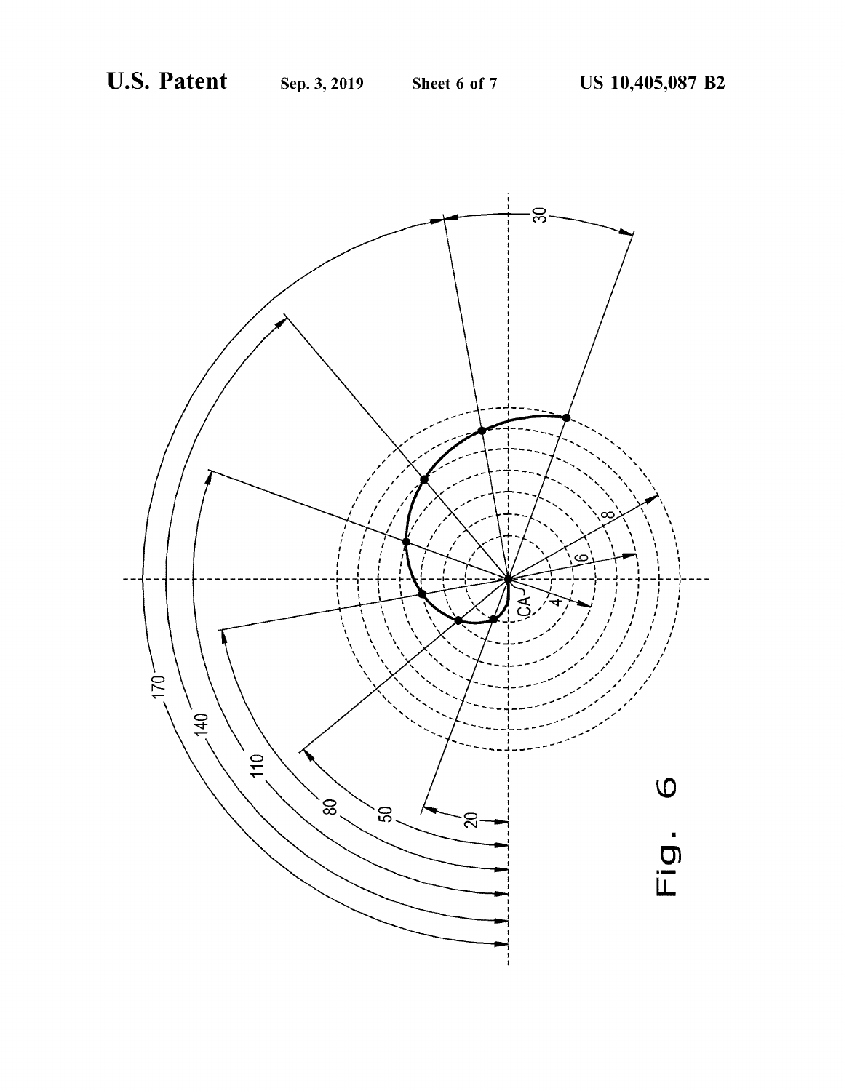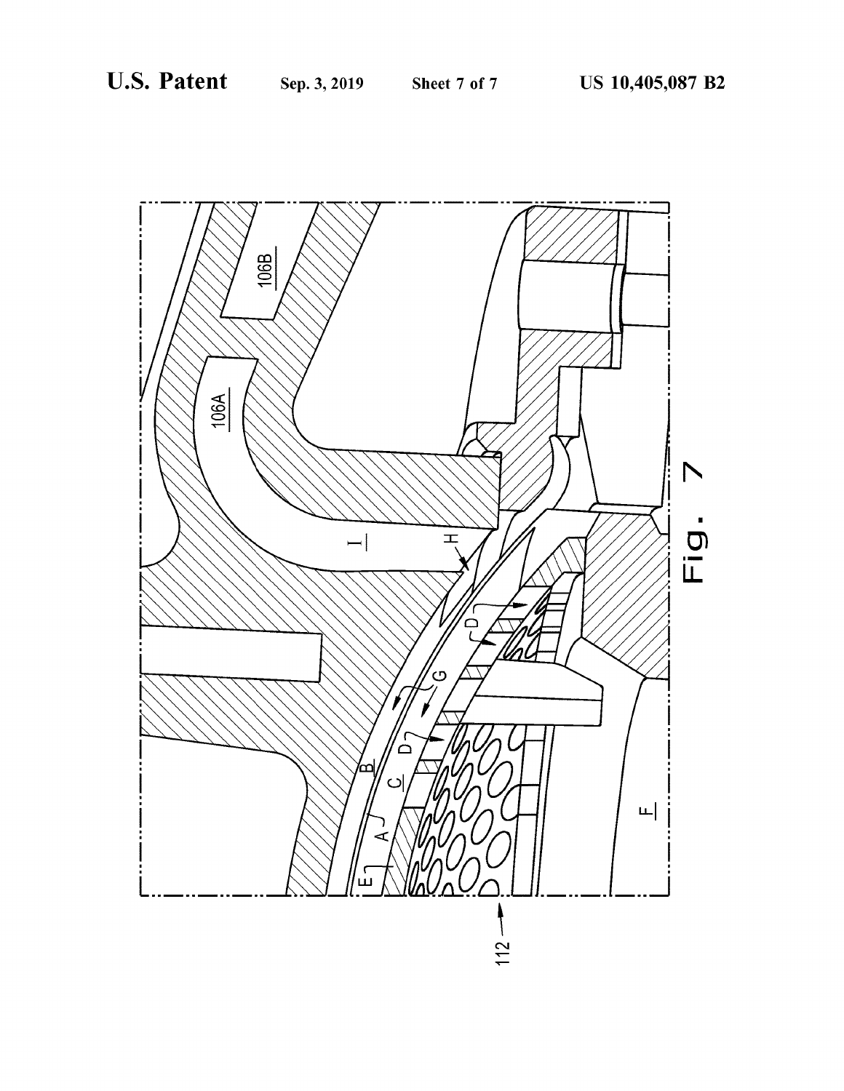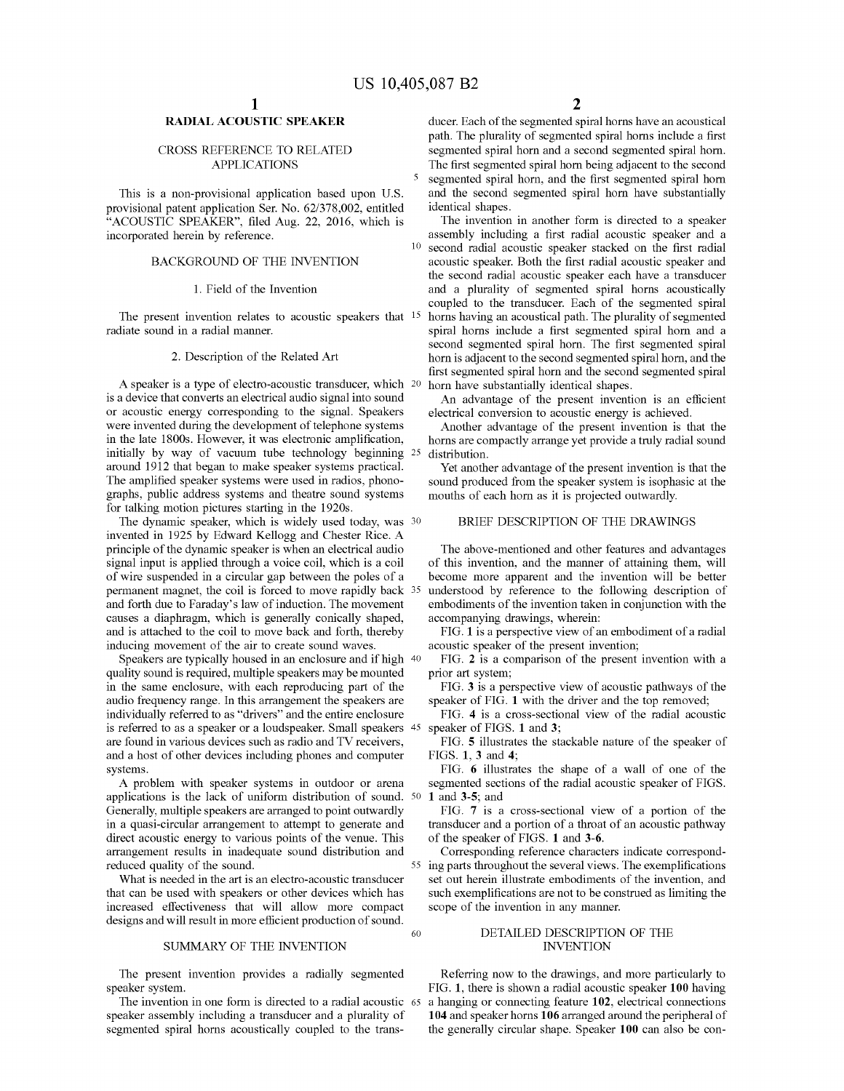This is a non-provisional application based upon U.S. provisional patent application Ser. No. 62/378,002, entitled<br>
"ACOUSTIC SPEAKER", filed Aug. 22, 2016, which is<br>
in the invention in another form is directed to a speaker<br>
incorporated herein by reference.<br>
assembly includ

A speaker is a type of electro-acoustic transducer, which 20 horn have substantially identical shapes.<br>
is a device that converts an electrical audio signal into sound An advantage of the present invention is an efficient were invented during the development of telephone systems Another advantage of the present invention is that the in the late 1800s. However, it was electronic amplification, horns are compactly arrange yet provide a truly in the late 1800s. However, it was electronic amplification, horns are compactly arrange yet provide a truly radial sound initially by way of vacuum tube technology beginning  $25$  distribution. initially by way of vacuum tube technology beginning 25 distribution.<br>around 1912 that began to make speaker systems practical. Yet another advantage of the present invention is that the<br>The amplified speaker systems were The amplified speaker systems were used in radios, phono-<br>graphs, public address systems and theatre sound systems mouths of each horn as it is projected outwardly. For talking motion pictures starting in the 1920s.<br>The dynamic speaker, which is widely used today, was <sup>30</sup> BRIEF DESCRIPTION OF THE DRAWINGS

invented in 1925 by Edward Kellogg and Chester Rice . A principle of the dynamic speaker is when an electrical audio The above-mentioned and other features and advantages signal input is applied through a voice coil, which is a coil of this invention, and the manner of attainin signal input is applied through a voice coil, which is a coil of this invention, and the manner of attaining them, will of wire suspended in a circular gap between the poles of a become more apparent and the invention will permanent magnet, the coil is forced to move rapidly back 35 and forth due to Faraday's law of induction. The movement causes a chaphragm, which is generally conically shaped, accompanying drawings, wherein: and is attached to the coil to move back and forth, thereby FIG. 1 is a perspective view of an embodiment of a radial inducing movement of the air to create sound waves. acoustic speaker of the present invention; inducing movement of the air to create sound waves. acoustic speaker of the present invention;<br>Speakers are typically housed in an enclosure and if high 40 FIG. 2 is a comparison of the present invention with a

Speakers are typically housed in an enclosure and if high  $40$  FIG. 2 is a consistint and is required, multiple speakers may be mounted prior art system; quality sound is required, multiple speakers may be mounted in the same enclosure, with each reproducing part of the FIG. 3 is a perspective view of acoustic pathways of the audio frequency range. In this arrangement the speakers are speaker of FIG. 1 with the driver and the top re audio frequency range. In this arrangement the speakers are speaker of FIG. 1 with the driver and the top removed;<br>individually referred to as "drivers" and the entire enclosure FIG. 4 is a cross-sectional view of the radi individually referred to as "drivers" and the entire enclosure FIG. 4 is a cross-sectic is referred to as a speaker or a loudspeaker. Small speakers 45 speaker of FIGS. 1 and 3; is referred to as a speaker or a loudspeaker. Small speakers 45 are found in various devices such as radio and TV receivers, and a host of other devices including phones and computer systems.

A applications is the lack of uniform distribution of sound. 50 1 and 3-5; and<br>Generally, multiple speakers are arranged to point outwardly<br>FIG. 7 is a cross-sectional view of a portion of the Generally, multiple speakers are arranged to point outwardly FIG. 7 is a cross-sectional view of a portion of the in a quasi-circular arrangement to attempt to generate and transducer and a portion of a throat of an acoust direct acoustic energy to various points of the venue. This of the speaker of FIGS. 1 and 3-6.<br>arrangement results in inadequate sound distribution and Corresponding reference characters indicate correspond-<br>reduced qualit

that can be used with speakers or other devices which has such exemplifications are not to be constructed as limiting as limiting the such exemples in the such exemples of the invention in any manner.

### SUMMARY OF THE INVENTION

The present invention provides a radially segmented Referring now to the drawings, and more particularly to speaker system.<br>FIG. 1, there is shown a radial acoustic speaker 100 having

segmented spiral horns acoustically coupled to the trans-<br>the generally circular shape. Speaker 100 can also be con-

RADIAL ACOUSTIC SPEAKER ducer. Each of the segmented spiral horns have an acoustical path. The plurality of segmented spiral horns include a first segmented spiral horn. CROSS REFERENCE TO RELATED segmented spiral horn and a second segmented spiral horn . APPLICATIONS The first segmented spiral horn being adjacent to the second segmented spiral horn, and the first segmented spiral horn and the second segmented spiral horn have substantially

second radial acoustic speaker stacked on the first radial BACKGROUND OF THE INVENTION acoustic speaker . Both the first radial acoustic speaker and the second radial acoustic speaker each have a transducer 1. Field of the Invention and a plurality of segmented spiral horns acoustically coupled to the transducer. Each of the segmented spiral The present invention relates to acoustic speakers that <sup>15</sup> horns having an acoustical path. The plurality of segmented radiate sound in a radial manner.<br>
radiate sound in a radial manner.<br>
second segmented spiral horn. T 2. Description of the Related Art horn is adjacent to the second segmented spiral horn, and the first segmented spiral horn and the second segmented spiral

become more apparent and the invention will be better understood by reference to the following description of embodiments of the invention taken in conjunction with the accompanying drawings, wherein:

FIG. 5 illustrates the stackable nature of the speaker of FIGS. 1, 3 and 4;

stems.<br>A problem with speaker systems in outdoor or arena segmented sections of the radial acoustic speaker of FIGS.

the sound of the sound and the sound is statement of the sound in the several views. The exemplifications what is needed in the art is an electro-acoustic transducer set out herein illustrate embodiments of the invention, set out herein illustrate embodiments of the invention, and such exemplifications are not to be construed as limiting the

# designs and will result in more efficient production of sound.<br>
SUMMARY OF THE INVENTION 60 DETAILED DESCRIPTION OF THE SUMMARY OF THE INVENTION

The invention in one form is directed to a radial acoustic  $\epsilon$  a hanging or connecting feature 102, electrical connections speaker assembly including a transducer and a plurality of 104 and speaker horns 106 arranged aro 104 and speaker horns 106 arranged around the peripheral of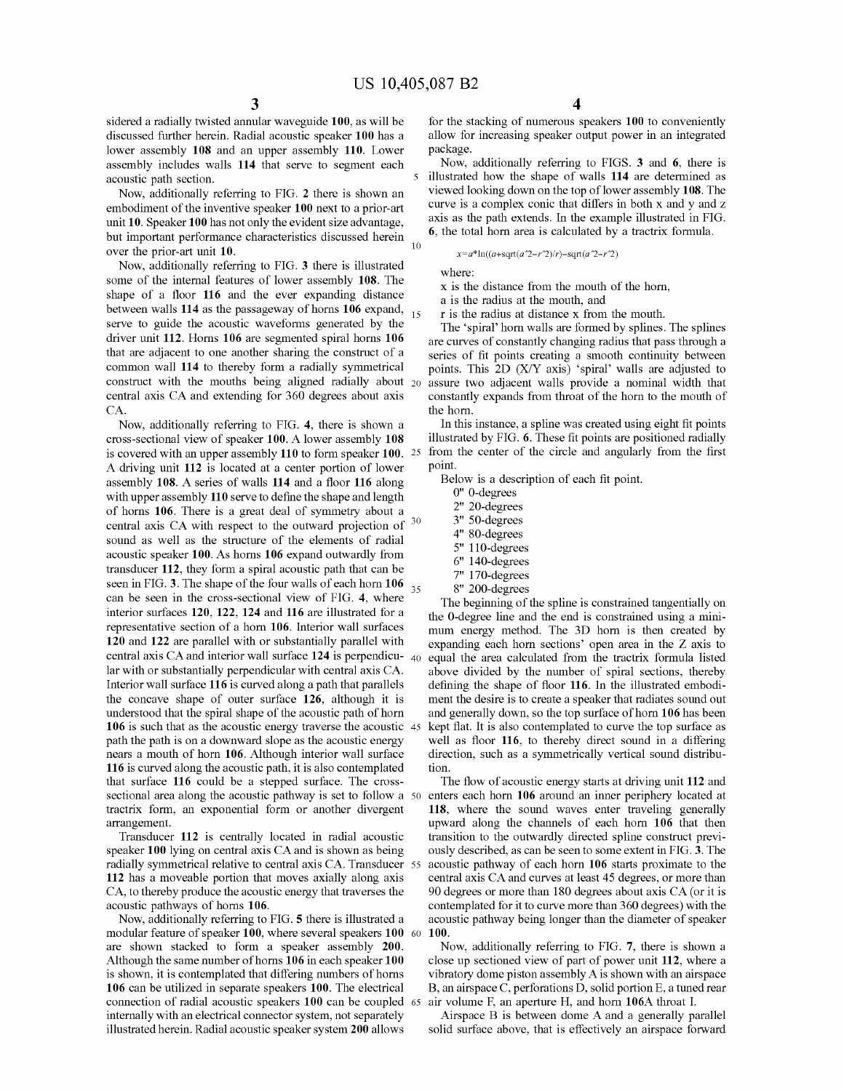sidered a radially twisted annular waveguide 100, as will be<br>discussed further herein. Radial acoustic speaker 100 has a<br>llow for increasing speaker output power in an integrated<br>lower assembly 108 and an upper assembly 11

embodiment of the inventive speaker 100 next to a prior-art curve is a complex conic that differs in both x and y and z<br>axis as the path extends. In the example illustrated in FIG. unit 10. Speaker 100 has not only the evident size advantage,<br>
in the path extends. In the example illustrated in FIG .<br>
In the example illustrated in FIG . but important performance characteristics discussed herein **6**, the total horn area is calculated by over the prior-art unit 10.<br> $x=a^* \ln((a+sqrta^2-r^2)/r)-sqrt(a^2-r^2)$ 

Now, additionally referring to FIG. 3 there is illustrated<br>some of the internal features of lower assembly 108. The<br>shape of a floor 116 and the ever expanding distance<br>between walls 114 as the passageway of horns 106 exp that are adjacent to one another sharing the construct of a series of fit points creating a smooth continuity between<br>common wall 114 to thereby form a radially symmetrical points. This 2D (X/Y axis) 'spiral' walls are adj construct with the mouths being aligned radially about 20 assure two adjacent walls provide a nominal width that central axis CA and extending for 360 degrees about axis constantly expands from throat of the horn to the mo central axis CA and extending for 360 degrees about axis

CA.<br>
Now, additionally referring to FIG. 4, there is shown a In this instance, a spline was created using eight fit points<br>
cross-sectional view of speaker 100. A lower assembly 108 illustrated by FIG. 6. These fit points cross-sectional view of speaker 100. A lower assembly 108 illustrated by FIG. 6. These fit points are positioned radially<br>is covered with an unner assembly 110 to form speaker 100, 25 from the center of the circle and angu is covered with an upper assembly 110 to form speaker 100. <sup>25</sup> A driving unit 112 is located at a center portion of lower<br>assembly 108. A series of walls 114 and a floor 116 along<br>with upper assembly 110 serve to define the shape and length<br>of being the contract of the shape and leng of horns 106. There is a great deal of symmetry about a  $2^{\degree}$  20-degrees control oxis CA with respect to the outward projection of  $3^0$   $3^{\degree}$  50-degrees central axis CA with respect to the outward projection of 30 3 " 50 - degrees 4 " 80 - degrees sound as well as the structure of the elements of radial 5 " 110 - degrees acoustic speaker 100 . As horns 106 expand outwardly from 6 " 140 - degrees transducer 112 , they form a spiral acoustic path that can be 7 " 170 - degrees seen in FIG . 3 . The shape of the four walls of each horn 106 35 8 " 200 - degrees can be seen in the cross - sectional view of FIG . 4 , where The beginning of the spline is constrained tangentially on interior surfaces 120 , 122 , 124 and 116 are illustrated for a the the O O - - degree degree line line and and the the end end is is constrained constrai using a mini representative section of a horn 106 . Interior wall surfaces mum energy method . The 3D horn is then created by 120 and 122 are parallel with or substantially parallel with expanding each horn sections ' open area in the Z axis to central axis CA and interior wall surface  $124$  is perpendicu-  $40$  equal the area calculated from the tractrix formula listed lar with or substantially perpendicular with central axis CA. above divided by the number of s Interior wall surface 116 is curved along a path that parallels defining the shape of floor 116. In the illustrated embodition-<br>the concave shape of outer surface 126, although it is ment the desire is to create a speaker the concave shape of outer surface 126, although it is ment the desire is to create a speaker that radiates sound out understood that the spiral shape of the acoustic path of horn and generally down, so the top surface of 106 is such that as the acoustic energy traverse the acoustic  $\frac{45}{45}$ path the path is on a downward slope as the acoustic energy well as floor 116, to thereby direct sound in a differing nears a mouth of horn 106. Although interior wall surface direction, such as a symmetrically vertical so nears a mouth of horn 106. Although interior wall surface direction, such as a symmetrically vertical sound distribu-<br>116 is curved along the acoustic path, it is also contemplated tion. that surface 116 could be a stepped surface. The cross-<br>section is along the acoustic pathway is set to follow a 50 enters each horn 106 around an inner periphery located at sectional area along the acoustic pathway is set to follow a 50 tractrix form, an exponential form or another divergent

speaker 100 lying on central axis CA and is shown as being ously described, as can be seen to some extent in FIG. 3. The<br>radially symmetrical relative to central axis CA. Transducer 55 acoustic pathway of each horn 106 sta radially symmetrical relative to central axis CA. Transducer 55 112 has a moveable portion that moves axially along axis 112 has a moveable portion that moves axially along axis central axis CA and curves at least 45 degrees, or more than CA, to thereby produce the acoustic energy that traverses the 90 degrees or more than 180 degrees about

modular feature of speaker 100, where several speakers 100 60 100.<br>
are shown stacked to form a speaker assembly 200. Now, additionally referring to FIG. 7, there is shown a<br>
Although the same number of horns 106 in each s is shown, it is contemplated that differing numbers of horns vibratory dome piston assembly A is shown with an airspace<br>106 can be utilized in separate speakers 100. The electrical B, an airspace C, perforations D, solid p 106 can be utilized in separate speakers 100. The electrical connection of radial acoustic speakers 100 can be coupled 65 air volume F, an aperture H, and horn 106A throat I.<br>
internally with an electrical connector system, not separately<br>
illustrated herein. Radial acoustic speaker

acoustic path section.<br>Now additionally referring to FIG 2 there is shown an viewed looking down on the top of lower assembly 108. The Now, additionally referring to FIG. 2 there is shown an viewed looking down on the top of lower assembly 108. The hydrogeneous control of the inventive speaker 100 next to a prior-art curve is a complex conic that differs

points. This 2D (X/Y axis) 'spiral' walls are adjusted to assure two adjacent walls provide a nominal width that

- 
- 
- 

and generally down, so the top surface of horn 106 has been<br>kept flat. It is also contemplated to curve the top surface as

118, where the sound waves enter traveling generally arrangement.<br>Transducer 112 is centrally located in radial acoustic transition to the outwardly directed spline construct previ-CA, to thereby produce the acoustic energy that traverses the 90 degrees or more than 180 degrees about axis CA (or it is contemplated for it to curve more than 360 degrees) with the oustic pathways of horns 106.<br>Now, additionally referring to FIG. 5 there is illustrated a acoustic pathway being longer than the diameter of speaker

close up sectioned view of part of power unit 112, where a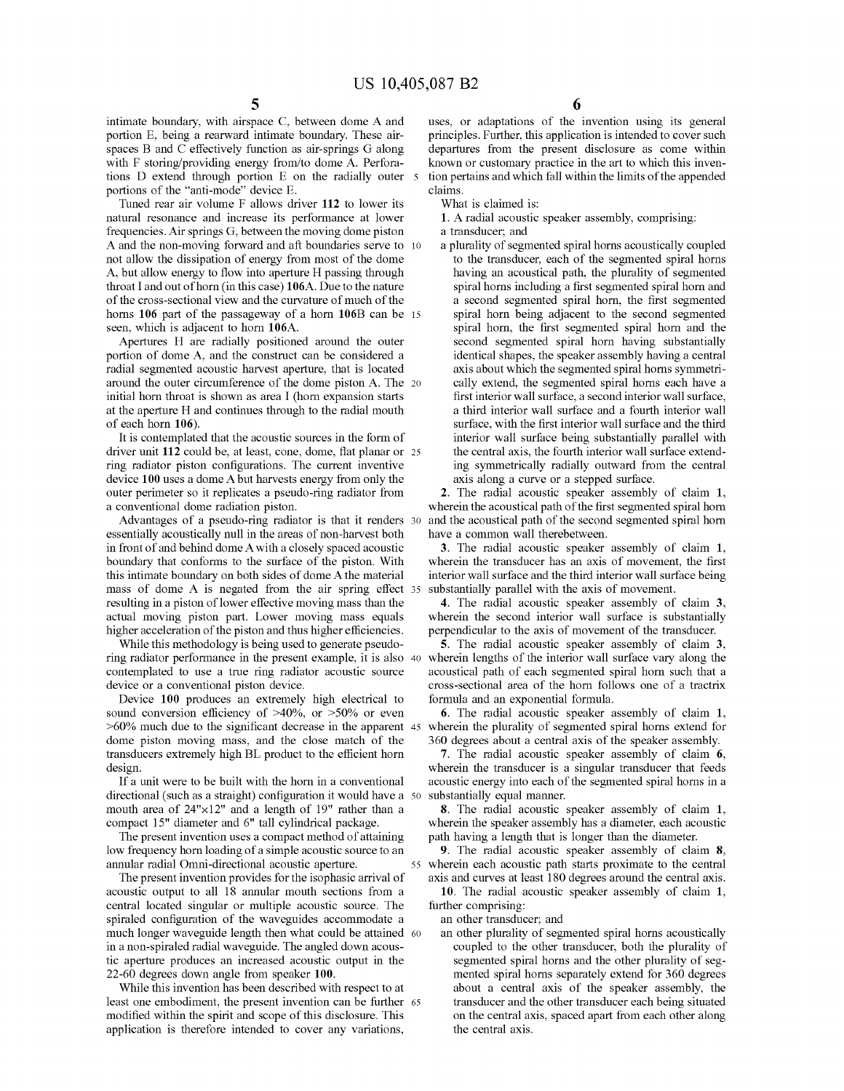spaces B and C effectively function as air-springs G along departures from the present disclosure as come within with F storing/providing energy from/to dome A. Perfora-<br>tions or customary practice in the art to which this inventions D extend through portion E on the radially outer  $\frac{1}{2}$  tion pertains and which fall within the l tions D extend through portion E on the radially outer  $\bar{s}$  portions of the "anti-mode" device E.

portions of the " anti-mode" device E.<br>
portions of the " anti-mode" device E.<br>
portion is claimed is: What is claimed is:<br>
is experiment to What is claimed is:<br>
is claimed is:<br>
is experiment to What is claimed is:<br>
is cla natural resonance and increase its performance at lower 1. A radial acoust frequencies. Air springs G, between the moving dome piston a transducer; and frequencies. Air springs G, between the moving dome piston A and the non-moving forward and aft boundaries serve to 10 a plurality of segmented spiral horns acoustically coupled not allow the dissipation of energy from most of the dome to the transducer, each of the segmented spir not allow the dissipation of energy from most of the dome to the transducer, each of the segmented spiral horns A, but allow energy to flow into aperture H passing through having an acoustical path, the plurality of segmen A, but allow energy to flow into aperture H passing through throat I and out of horn (in this case) 106A. Due to the nature throat I and out of horn (in this case) 106A. Due to the nature spiral horns including a first segmented spiral horn and of the cross-sectional view and the curvature of much of the a second segmented spiral horn, the firs horns 106 part of the passageway of a horn 106B can be 15 seen, which is adjacent to horn 106A.

Apertures H are radially positioned around the outer second segmented spiral horn having substantially rition of dome A, and the construct can be considered a identical shapes, the speaker assembly having a central portion of dome A, and the construct can be considered a radial segmented accustic harvest aperture, that is located around the outer circumference of the dome piston A. The 20 cally extend, the segmented spiral horns each have a initial horn throat is shown as area I (horn expansion starts first interior wall surface, a second interior at the aperture H and continues through to the radial mouth a third interior wall surface and a fourth interior wall<br>surface, with the first interior wall surface and the third

driver unit 112 could be, at least, cone, dome, flat planar or 25 the central axis, the fourth interior wall surface extend-<br>ring radiator piston configurations. The current inventive ing symmetrically radially outward fro ring radiator piston configurations. The current inventive ing symmetrically radially outward from device 100 uses a dome A but harvests energy from only the axis along a curve or a stepped surface. device 100 uses a dome A but harvests energy from only the axis along a curve or a stepped surface.<br>
outer perimeter so it replicates a pseudo-ring radiator from 2. The radial acoustic speaker assembly of claim 1,<br>
a conve

Advantages of a pseudo-ring radiator is that it renders 30 essentially acoustically null in the areas of non-harvest both have a common wall therebetween.<br>
in front of and behind dome A with a closely spaced acoustic **3**. The radial acoustic speaker assembly of claim 1,<br>
boundary this intimate boundary on both sides of dome A the material interior wall surface and the third interior wall surface being mass of dome A is negated from the air spring effect 35 substantially parallel with the axis of mo

sound conversion efficiency of  $>40\%$ , or  $>50\%$  or even<br>  $>6$ . The radial acoustic speaker assembly of claim 1,<br>  $>60\%$  much due to the significant decrease in the apparent 45 wherein the plurality of segmented spiral dome piston moving mass, and the close match of the

If a unit were to be built with the horn in a conventional acoustic energy into each of the segmented spiral horns in a directional (such as a straight) configuration it would have a 50 substantially equal manner.

The present invention uses a compact method of attaining path having a length that is longer than the diameter.<br>We frequency horn loading of a simple acoustic source to an **9**. The radial acoustic speaker assembly of claim

acoustic output to all 18 annular mouth sections from a<br>central located singular or multiple acoustic source. The further comprising:<br>spiraled configuration of the waveguides accommodate a an other transducer; and spiraled configuration of the waveguides accommodate a an other transducer; and<br>much longer waveguide length then what could be attained 60 an other plurality of segmented spiral horns acoustically in a non-spiraled radial waveguide. The angled down acous-<br>tic aperture produces an increased acoustic output in the segmented spiral horns and the other plurality of seg-

least one embodiment, the present invention can be further 65 transducer and the other transducer each being situated modified within the spirit and scope of this disclosure. This on the central axis, spaced apart from eac application is therefore intended to cover any variations, the central axis .

intimate boundary, with airspace C, between dome A and uses, or adaptations of the invention using its general portion E, being a rearward intimate boundary. These air-<br>principles. Further, this application is intended to principles. Further, this application is intended to cover such

a second segmented spiral horn, the first segmented spiral horn being adjacent to the second segmented spiral horn, the first segmented spiral horn and the second segmented spiral horn having substantially axis about which the segmented spiral horns symmetriof each horn 106).<br>It is contemplated that the acoustic sources in the form of the interior wall surface being substantially parallel with interior wall surface being substantially parallel with the central axis, the fourth interior wall surface extend-

resulting in a piston of lower effective moving mass than the the radial acoustic speaker assembly of claim 3,<br>actual moving piston part. Lower moving mass equals wherein the second interior wall surface is substantially<br>h

contemplated to use a true ring radiator acoustic source acoustical path of each segmented spiral horn such that a device or a conventional piston device. wice or a conventional piston device.<br>
Device 100 produces an extremely high electrical to formula and an exponential formula.

transducers extremely high BL product to the efficient horn 7. The radial acoustic speaker assembly of claim 6, design.<br>Wherein the transducer is a singular transducer that feeds<br>If a unit were to be built with the horn in

mouth area of  $24" \times 12"$  and a length of 19" rather than a<br>compact 15" diameter and 6" tall cylindrical package.<br>The present invention uses a compact method of attaining a length that is longer than the diameter.

low frequency horn loading of a simple acoustic source to an<br>anular radial Omni-directional acoustic aperture.<br>The present invention provides for the isophasic arrival of axis and curves at least 180 degrees around the cen

22-60 degrees down angle from speaker 100. The mented spiral horns separately extend for 360 degrees<br>While this invention has been described with respect to at<br>least one embodiment, the present invention can be further 65